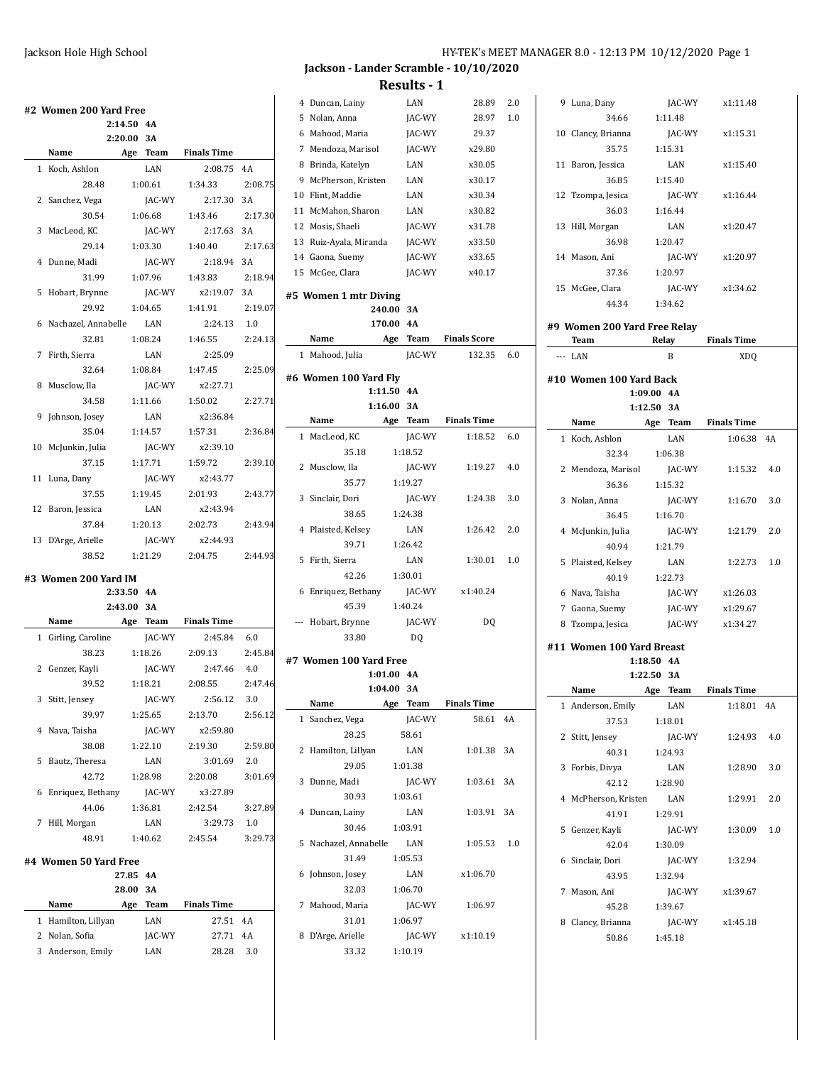|   | 2:14.50 4A                  |       |               |                         |                               |
|---|-----------------------------|-------|---------------|-------------------------|-------------------------------|
|   | 2:20.00 3A                  |       |               |                         |                               |
|   | Name                        |       |               | Age Team Finals Time    |                               |
|   | 1 Koch, Ashlon              |       | LAN           | 2:08.75                 | 4A                            |
|   | 28.48                       |       | 1:00.61       | 1:34.33                 | 2:08.75                       |
|   | 2 Sanchez, Vega             |       | JAC-WY        | 2:17.30                 | 3A                            |
|   | 30.54                       |       | 1:06.68       | 1:43.46                 | 2:17.30                       |
|   | 3 MacLeod. KC               |       | JAC-WY        | 2:17.63                 | 3A                            |
|   | 29.14                       |       | 1:03.30       | 1:40.40                 | 2:17.63                       |
|   | 4 Dunne, Madi               |       | JAC-WY        | 2:18.94                 | 3A                            |
|   | 31.99                       |       | 1:07.96       | 1:43.83                 | 2:18.94                       |
|   | 5 Hobart, Brynne            |       |               | JAC-WY x2:19.07 3A      |                               |
|   | 29.92                       |       | 1:04.65       | 1:41.91 2:19.07         |                               |
|   | 6 Nachazel, Annabelle LAN   |       |               | $2:24.13$ 1.0           |                               |
|   | 32.81                       |       |               | 1:08.24 1:46.55         | 2:24.13                       |
|   | 7 Firth, Sierra             |       | LAN           | 2:25.09                 |                               |
|   | 32.64                       |       | 1:08.84       | 1:47.45                 | 2:25.09                       |
|   | 8 Musclow, Ila              |       | JAC-WY        | x2:27.71                |                               |
|   |                             |       | 1:11.66       | 1:50.02                 | 2:27.71                       |
|   | 34.58                       |       | LAN           | x2:36.84                |                               |
|   | 9 Johnson, Josey<br>35.04   |       | 1:14.57       | 1:57.31                 | 2:36.84                       |
|   |                             |       | JAC-WY        | x2:39.10                |                               |
|   | 10 McJunkin, Julia<br>37.15 |       | 1:17.71       | 1:59.72                 | 2:39.10                       |
|   | 11 Luna, Dany               |       | JAC-WY        | x2:43.77                |                               |
|   | 37.55                       |       | 1:19.45       |                         |                               |
|   |                             |       | LAN           | 2:01.93<br>x2:43.94     | 2:43.77                       |
|   | 12 Baron, Jessica           |       |               | 1:20.13 2:02.73         |                               |
|   | 37.84                       |       |               | x2:44.93                | 2:43.94                       |
|   | 13 D'Arge, Arielle          |       | JAC-WY        |                         |                               |
|   |                             |       |               |                         |                               |
|   | 38.52                       |       |               | 1:21.29 2:04.75 2:44.93 |                               |
|   | #3 Women 200 Yard IM        |       |               |                         |                               |
|   | 2:33.50 4A                  |       |               |                         |                               |
|   | 2:43.00                     |       | 3A            |                         |                               |
|   | Name                        |       |               | Age Team Finals Time    |                               |
|   | 1 Girling, Caroline         |       | JAC-WY        | 2:45.84                 | 6.0                           |
|   | 38.23                       |       | 1:18.26       | 2:09.13                 |                               |
|   | 2 Genzer, Kayli             |       | JAC-WY        | 2:47.46                 | 4.0                           |
|   | 39.52 1:18.21               |       |               | 2:08.55                 |                               |
|   | 3 Stitt, Jensey             |       | JAC-WY        | 2:56.12 3.0             |                               |
|   | 39.97                       |       | 1:25.65       | 2:13.70                 |                               |
|   | 4 Nava, Taisha              |       | <b>JAC-WY</b> | x2:59.80                |                               |
|   | 38.08                       |       | 1:22.10       | 2:19.30                 |                               |
| 5 | Bautz, Theresa              |       | LAN           | 3:01.69                 | 2:47.46<br>2:59.80<br>2.0     |
|   | 42.72                       |       | 1:28.98       | 2:20.08                 | 2:45.84<br>2:56.12<br>3:01.69 |
|   | 6 Enriquez, Bethany         |       | JAC-WY        | x3:27.89                |                               |
|   | 44.06                       |       | 1:36.81       | 2:42.54                 | 3:27.89                       |
|   | 7 Hill, Morgan              |       | LAN           | 3:29.73                 | 1.0                           |
|   | 48.91                       |       | 1:40.62       | 2:45.54                 | 3:29.73                       |
|   | #4 Women 50 Yard Free       |       |               |                         |                               |
|   |                             | 27.85 | 4A            |                         |                               |
|   |                             | 28.00 | 3A            |                         |                               |
|   | Name                        | Age   |               | Team Finals Time        |                               |
|   | 1 Hamilton, Lillyan         |       | LAN           | 27.51                   | 4A                            |
|   | 2 Nolan, Sofia              |       | JAC-WY        | 27.71                   | 4A                            |

## **Jackson - Lander Scramble - 10/10/2020 Results - 1**

| 4 | Duncan, Lainy          |                    | LAN           | 28.89                    | 2.0 |
|---|------------------------|--------------------|---------------|--------------------------|-----|
| 5 | Nolan, Anna            |                    | <b>JAC-WY</b> | 28.97                    | 1.0 |
| 6 | Mahood, Maria          |                    | JAC-WY        | 29.37                    |     |
| 7 | Mendoza, Marisol       |                    | JAC-WY        | x29.80                   |     |
| 8 | Brinda, Katelyn        |                    | LAN           | x30.05                   |     |
| 9 | McPherson, Kristen     |                    | LAN           | x30.17                   |     |
|   | 10 Flint, Maddie       |                    | LAN           | x30.34                   |     |
|   | 11 McMahon, Sharon     |                    | LAN           | x30.82                   |     |
|   | 12 Mosis, Shaeli       |                    | JAC-WY        | x31.78                   |     |
|   | 13 Ruiz-Ayala, Miranda |                    | JAC-WY        | x33.50                   |     |
|   | 14 Gaona, Suemy        |                    | JAC-WY        | x33.65                   |     |
|   | 15 McGee. Clara        |                    | <b>JAC-WY</b> | x40.17                   |     |
|   |                        |                    |               |                          |     |
|   | #5 Women 1 mtr Diving  | 240.00             | 3A            |                          |     |
|   |                        | 170.00             | 4A            |                          |     |
|   | Name                   | Age                |               | <b>Team</b> Finals Score |     |
|   | 1 Mahood, Julia        |                    | <b>JAC-WY</b> | 132.35                   | 6.0 |
|   |                        |                    |               |                          |     |
|   | #6 Women 100 Yard Fly  |                    |               |                          |     |
|   |                        | 1:11.50<br>1:16.00 | 4A<br>3A      |                          |     |
|   | Name                   | Age                | Team          | <b>Finals Time</b>       |     |
|   | 1 MacLeod, KC          |                    | <b>JAC-WY</b> | 1:18.52                  | 6.0 |
|   | 35.18                  |                    | 1:18.52       |                          |     |
| 2 | Musclow, Ila           |                    | JAC-WY        | 1:19.27                  | 4.0 |
|   | 35.77                  |                    | 1:19.27       |                          |     |
| 3 | Sinclair, Dori         |                    | JAC-WY        | 1:24.38                  | 3.0 |
|   | 38.65                  |                    | 1:24.38       |                          |     |
|   |                        |                    | LAN           | 1:26.42                  | 2.0 |
| 4 | Plaisted, Kelsey       |                    |               |                          |     |
|   | 39.71                  |                    | 1:26.42       |                          |     |
| 5 | Firth, Sierra          |                    | LAN           | 1:30.01                  | 1.0 |
|   | 42.26                  |                    | 1:30.01       |                          |     |
| 6 | Enriquez, Bethany      |                    | JAC-WY        | x1:40.24                 |     |
|   | 45.39                  |                    | 1:40.24       |                          |     |
|   | --- Hobart, Brynne     |                    | JAC-WY        | D <sub>0</sub>           |     |
|   | 33.80                  |                    | DQ            |                          |     |
|   | #7 Women 100 Yard Free |                    |               |                          |     |
|   |                        | 1:01.00 4A         |               |                          |     |
|   |                        | 1:04.00 3A         |               |                          |     |
|   | Name                   | Age                | Team          | <b>Finals Time</b>       |     |
| 1 | Sanchez, Vega          |                    | JAC-WY        | 58.61                    | 4A  |
|   | 28.25                  |                    | 58.61         |                          |     |
| 2 | Hamilton, Lillyan      |                    | LAN           | 1:01.38                  | 3A  |
|   | 29.05                  |                    | 1:01.38       |                          |     |
| 3 | Dunne, Madi            |                    | JAC-WY        | 1:03.61                  | 3A  |
|   | 30.93                  |                    | 1:03.61       |                          |     |
| 4 | Duncan, Lainy          |                    | LAN           | 1:03.91                  | 3A  |
|   | 30.46                  |                    | 1:03.91       |                          |     |
| 5 | Nachazel, Annabelle    |                    | LAN           | 1:05.53                  | 1.0 |
|   | 31.49                  |                    | 1:05.53       |                          |     |
| 6 | Johnson, Josey         |                    | LAN           | x1:06.70                 |     |
|   | 32.03                  |                    | 1:06.70       |                          |     |
| 7 | Mahood, Maria          |                    | JAC-WY        | 1:06.97                  |     |
|   | 31.01                  |                    | 1:06.97       |                          |     |
| 8 | D'Arge, Arielle        |                    | JAC-WY        | x1:10.19                 |     |
|   | 33.32                  |                    | 1:10.19       |                          |     |

| 9     | Luna, Dany                   | JAC-WY       |               | x1:11.48             |     |
|-------|------------------------------|--------------|---------------|----------------------|-----|
|       | 34.66                        |              | 1:11.48       |                      |     |
|       | 10 Clancy, Brianna           |              | JAC-WY        | x1:15.31             |     |
|       | 35.75                        |              | 1:15.31       |                      |     |
|       | 11 Baron, Jessica            |              | LAN           | x1:15.40             |     |
| 36.85 |                              | 1:15.40      |               |                      |     |
|       | 12 Tzompa, Jesica            |              | JAC-WY        | x1:16.44             |     |
|       | 36.03                        |              | 1:16.44       |                      |     |
|       | 13 Hill, Morgan              |              | LAN           | x1:20.47             |     |
|       | 36.98                        |              | 1:20.47       |                      |     |
|       | 14 Mason, Ani                |              | JAC-WY        | x1:20.97             |     |
|       | 37.36                        |              | 1:20.97       |                      |     |
|       |                              |              |               |                      |     |
|       | 15 McGee, Clara              |              | JAC-WY        | x1:34.62             |     |
|       | 44.34                        |              | 1:34.62       |                      |     |
|       | #9 Women 200 Yard Free Relay |              |               |                      |     |
|       | Team                         |              | Relay         | <b>Finals Time</b>   |     |
|       | --- LAN                      |              | B             | XDQ                  |     |
|       |                              |              |               |                      |     |
|       | #10 Women 100 Yard Back      |              |               |                      |     |
|       |                              | 1:09.00 4A   |               |                      |     |
|       |                              | $1:12.50$ 3A |               |                      |     |
|       | Name                         |              |               | Age Team Finals Time |     |
|       | 1 Koch, Ashlon               |              | LAN           | 1:06.38 4A           |     |
|       | 32.34                        |              | 1:06.38       |                      |     |
|       | 2 Mendoza, Marisol           |              | JAC-WY        | 1:15.32              | 4.0 |
|       | 36.36                        |              | 1:15.32       |                      |     |
|       | 3 Nolan, Anna                |              | JAC-WY        | 1:16.70              | 3.0 |
|       | 36.45                        |              | 1:16.70       |                      |     |
|       | 4 McJunkin, Julia            |              | JAC-WY        | 1:21.79              | 2.0 |
|       | 40.94                        |              | 1:21.79       |                      |     |
| 5     | Plaisted, Kelsey             |              | LAN           | 1:22.73              | 1.0 |
|       | 40.19                        |              | 1:22.73       |                      |     |
|       | 6 Nava, Taisha               |              | JAC-WY        | x1:26.03             |     |
|       | 7 Gaona, Suemy               |              | JAC-WY        | x1:29.67             |     |
|       | 8 Tzompa, Jesica             |              | JAC-WY        | x1:34.27             |     |
|       |                              |              |               |                      |     |
|       | #11 Women 100 Yard Breast    |              |               |                      |     |
|       |                              | 1:18.50 4A   |               |                      |     |
|       |                              | 1:22.50      | 3A            |                      |     |
|       | Name                         |              |               | Age Team Finals Time |     |
|       | 1 Anderson, Emily            |              | LAN           | 1:18.01 4A           |     |
|       | 37.53                        |              | 1:18.01       |                      |     |
|       | 2 Stitt, Jensey              |              | JAC-WY        | 1:24.93              | 4.0 |
|       | 40.31                        |              | 1:24.93       |                      |     |
|       | 3 Forbis, Divya              |              | LAN           | 1:28.90              | 3.0 |
|       | 42.12                        |              | 1:28.90       |                      |     |
|       | 4 McPherson, Kristen         |              | LAN           | 1:29.91              | 2.0 |
|       | 41.91                        |              | 1:29.91       |                      |     |
|       | 5 Genzer, Kayli              |              | <b>JAC-WY</b> | 1:30.09              | 1.0 |
|       |                              |              |               |                      |     |
|       | 42.04                        |              | 1:30.09       |                      |     |
|       | 6 Sinclair, Dori             |              | JAC-WY        | 1:32.94              |     |
|       |                              |              |               |                      |     |
|       | 43.95                        |              | 1:32.94       |                      |     |
|       | 7 Mason, Ani                 |              |               | JAC-WY x1:39.67      |     |
|       | 45.28 1:39.67                |              |               |                      |     |
|       | 8 Clancy, Brianna            |              |               | JAC-WY x1:45.18      |     |
|       | 50.86                        | 1:45.18      |               |                      |     |